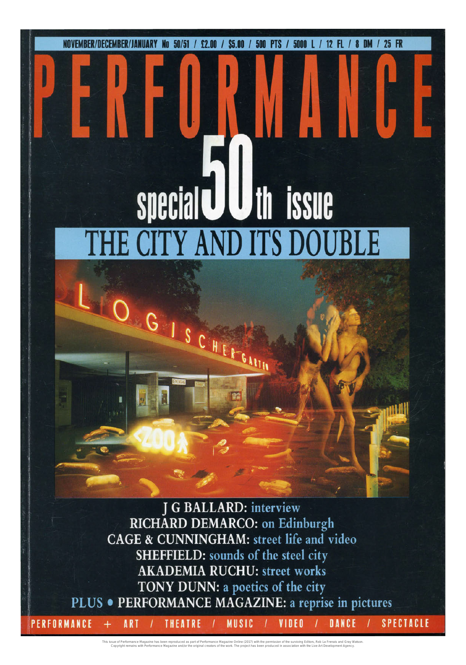**NOVEMBER/DECEMBER/ JANUARY No** 50/51 / £2.00 / S5.00 / 500 PTS / 5000 L/ 12 FL / 8 OM / 25 FR

## special **UU** th issue **ITY AND ITS DOUB**

GISCHEFGAIN

J G BALLARD: interview RICHARD DEMARCO: on Edinburgh CAGE & CUNNINGHAM: street life and video SHEFFIELD: sounds of the steel city **AKADEMIA RUCHU: street works** TONY DUNN: a poetics of the city PLUS . PERFORMANCE MAGAZINE: a reprise in pictures **SPECTACLE** PERFORMANCE **MUSIC** DANCE

VIDEO

This issue of Performance Magazine has been reproduced as part of Performance Meaparhe Online the permission of the surviving Editors, Rob La Frenais and Gray Watson.<br>Copyright remains with Performance Magazine and/or the

THEATRE

ART